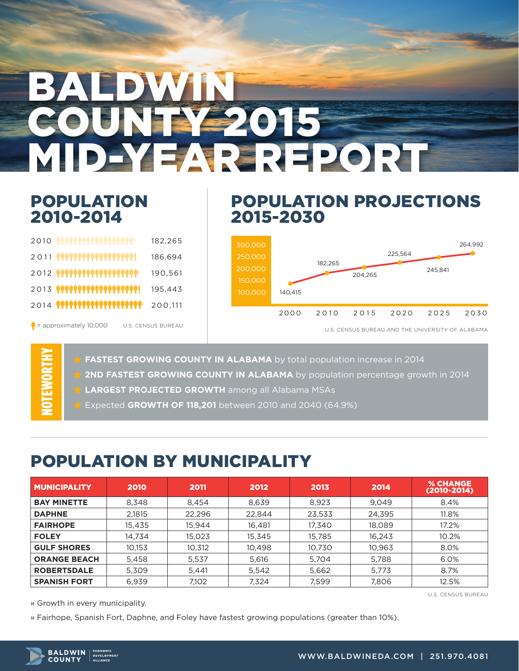# **ALDWIN** OUNTY 2015 MID-YEAR REPORT

#### POPULATION 2010-2014

 $\frac{1}{2}$  = approximately 10,000

NOTEWORTHY

#### POPULATION PROJECTIONS 2015-2030

| 2010                                                     | 182,265 |  |
|----------------------------------------------------------|---------|--|
| ,,,,,,,,,,,,,,,,,,,,,,,,,,<br>2011                       | 186,694 |  |
| $2012$ <b>THERTH AND AND LARGE SET AND LARGE SET AND</b> | 190,561 |  |
| $2013$ <b>####################</b> #                     | 195,443 |  |
| $2014$ TRTPS SUPPORTED THE SUPPORT OF $\sim$             | 200.111 |  |
|                                                          |         |  |

U.S. CENSUS BUREAU



U.S. CENSUS BUREAU AND THE UNIVERSITY OF ALABAMA

**FASTEST GROWING COUNTY IN ALABAMA** by total population increase in 2014

- **2ND FASTEST GROWING COUNTY IN ALABAMA** by population percentage growth in 2014
- **LARGEST PROJECTED GROWTH** among all Alabama MSAs
- Expected **GROWTH OF 118,201** between 2010 and 2040 (64.9%)

## POPULATION BY MUNICIPALITY

| <b>MUNICIPALITY</b> | 2010   | 2011   | 2012   | 2013   | 2014   | <b>% CHANGE</b><br>$(2010 - 2014)$ |
|---------------------|--------|--------|--------|--------|--------|------------------------------------|
| <b>BAY MINETTE</b>  | 8,348  | 8,454  | 8,639  | 8,923  | 9,049  | 8.4%                               |
| <b>DAPHNE</b>       | 2,1815 | 22,296 | 22,844 | 23,533 | 24,395 | 11.8%                              |
| <b>FAIRHOPE</b>     | 15,435 | 15.944 | 16,481 | 17,340 | 18,089 | 17.2%                              |
| <b>FOLEY</b>        | 14,734 | 15,023 | 15,345 | 15,785 | 16,243 | 10.2%                              |
| <b>GULF SHORES</b>  | 10,153 | 10,312 | 10,498 | 10,730 | 10,963 | 8.0%                               |
| <b>ORANGE BEACH</b> | 5.458  | 5,537  | 5.616  | 5.704  | 5,788  | 6.0%                               |
| <b>ROBERTSDALE</b>  | 5.309  | 5.441  | 5,542  | 5,662  | 5,773  | 8.7%                               |
| <b>SPANISH FORT</b> | 6.939  | 7.102  | 7,324  | 7,599  | 7,806  | 12.5%                              |

U.S. CENSUS BUREAU

» Growth in every municipality.

» Fairhope, Spanish Fort, Daphne, and Foley have fastest growing populations (greater than 10%).

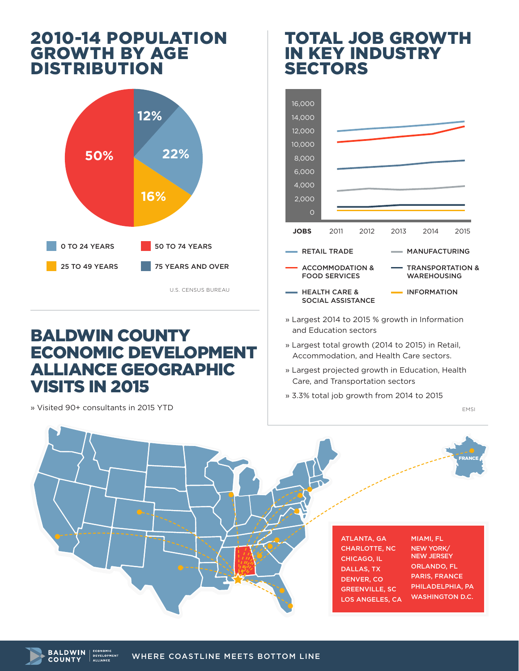#### 2010-14 POPULATION GROWTH BY AGE DISTRIBUTION



U.S. CENSUS BUREAU

## BALDWIN COUNTY ECONOMIC DEVELOPMENT ALLIANCE GEOGRAPHIC VISITS IN 2015

» Visited 90+ consultants in 2015 YTD

#### TOTAL JOB GROWTH IN KEY INDUSTRY SECTORS



- » Largest 2014 to 2015 % growth in Information and Education sectors
- » Largest total growth (2014 to 2015) in Retail, Accommodation, and Health Care sectors.
- » Largest projected growth in Education, Health Care, and Transportation sectors
- » 3.3% total job growth from 2014 to 2015

EMSI



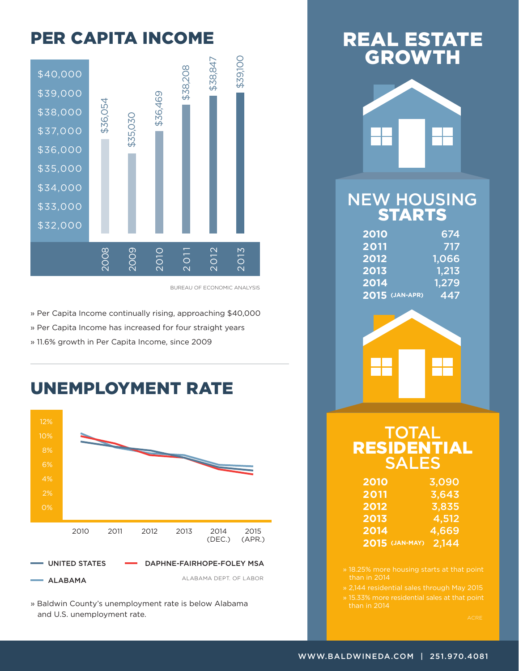## PER CAPITA INCOME



BUREAU OF ECONOMIC ANALYSIS

» Per Capita Income continually rising, approaching \$40,000

» Per Capita Income has increased for four straight years

» 11.6% growth in Per Capita Income, since 2009

## UNEMPLOYMENT RATE



» Baldwin County's unemployment rate is below Alabama and U.S. unemployment rate.

## REAL ESTATE GROWTH



#### NEW HOUSING STARTS

| 2010           | 674   |
|----------------|-------|
| 2011           | 717   |
| 2012           | 1,066 |
| 2013           | 1,213 |
| 2014           | 1,279 |
| 2015 (JAN-APR) | 447   |



#### **TOTAL** RESIDENTIAL SALES

| <b>2010</b>    | 3,090        |
|----------------|--------------|
| 2011           | 3,643        |
| 2012           | 3,835        |
| 2013           | <u>4,512</u> |
| 2014           | 4,669        |
| 2015 (JAN-MAY) | 2,144        |

» 15.33% more residential sales at that point